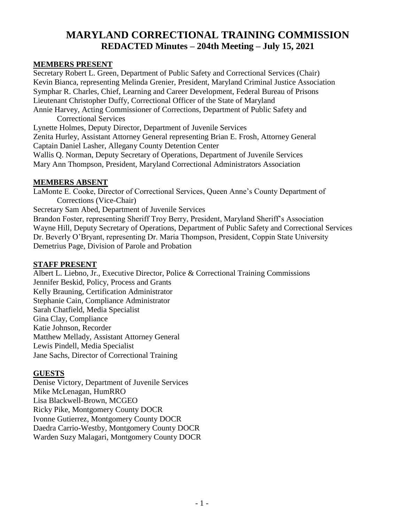# **MARYLAND CORRECTIONAL TRAINING COMMISSION REDACTED Minutes – 204th Meeting – July 15, 2021**

#### **MEMBERS PRESENT**

Secretary Robert L. Green, Department of Public Safety and Correctional Services (Chair) Kevin Bianca, representing Melinda Grenier, President, Maryland Criminal Justice Association Symphar R. Charles, Chief, Learning and Career Development, Federal Bureau of Prisons Lieutenant Christopher Duffy, Correctional Officer of the State of Maryland Annie Harvey, Acting Commissioner of Corrections, Department of Public Safety and Correctional Services Lynette Holmes, Deputy Director, Department of Juvenile Services

Zenita Hurley, Assistant Attorney General representing Brian E. Frosh, Attorney General Captain Daniel Lasher, Allegany County Detention Center

Wallis Q. Norman, Deputy Secretary of Operations, Department of Juvenile Services Mary Ann Thompson, President, Maryland Correctional Administrators Association

#### **MEMBERS ABSENT**

LaMonte E. Cooke, Director of Correctional Services, Queen Anne's County Department of Corrections (Vice-Chair) Secretary Sam Abed, Department of Juvenile Services Brandon Foster, representing Sheriff Troy Berry, President, Maryland Sheriff's Association Wayne Hill, Deputy Secretary of Operations, Department of Public Safety and Correctional Services Dr. Beverly O'Bryant, representing Dr. Maria Thompson, President, Coppin State University

Demetrius Page, Division of Parole and Probation

#### **STAFF PRESENT**

Albert L. Liebno, Jr., Executive Director, Police & Correctional Training Commissions Jennifer Beskid, Policy, Process and Grants Kelly Brauning, Certification Administrator Stephanie Cain, Compliance Administrator Sarah Chatfield, Media Specialist Gina Clay, Compliance Katie Johnson, Recorder Matthew Mellady, Assistant Attorney General Lewis Pindell, Media Specialist Jane Sachs, Director of Correctional Training

#### **GUESTS**

Denise Victory, Department of Juvenile Services Mike McLenagan, HumRRO Lisa Blackwell-Brown, MCGEO Ricky Pike, Montgomery County DOCR Ivonne Gutierrez, Montgomery County DOCR Daedra Carrio-Westby, Montgomery County DOCR Warden Suzy Malagari, Montgomery County DOCR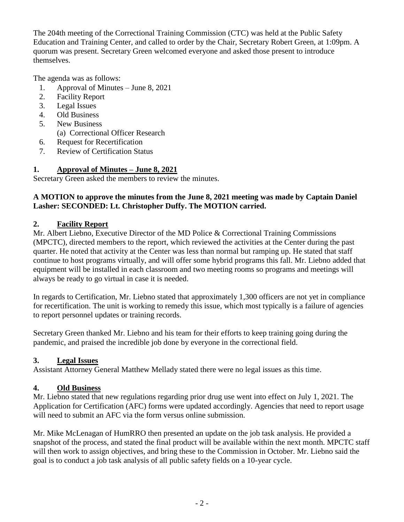The 204th meeting of the Correctional Training Commission (CTC) was held at the Public Safety Education and Training Center, and called to order by the Chair, Secretary Robert Green, at 1:09pm. A quorum was present. Secretary Green welcomed everyone and asked those present to introduce themselves.

The agenda was as follows:

- 1. Approval of Minutes June 8, 2021
- 2. Facility Report
- 3. Legal Issues
- 4. Old Business
- 5. New Business
	- (a) Correctional Officer Research
- 6. Request for Recertification
- 7. Review of Certification Status

# **1. Approval of Minutes – June 8, 2021**

Secretary Green asked the members to review the minutes.

#### **A MOTION to approve the minutes from the June 8, 2021 meeting was made by Captain Daniel Lasher: SECONDED: Lt. Christopher Duffy. The MOTION carried.**

## **2. Facility Report**

Mr. Albert Liebno, Executive Director of the MD Police & Correctional Training Commissions (MPCTC), directed members to the report, which reviewed the activities at the Center during the past quarter. He noted that activity at the Center was less than normal but ramping up. He stated that staff continue to host programs virtually, and will offer some hybrid programs this fall. Mr. Liebno added that equipment will be installed in each classroom and two meeting rooms so programs and meetings will always be ready to go virtual in case it is needed.

In regards to Certification, Mr. Liebno stated that approximately 1,300 officers are not yet in compliance for recertification. The unit is working to remedy this issue, which most typically is a failure of agencies to report personnel updates or training records.

Secretary Green thanked Mr. Liebno and his team for their efforts to keep training going during the pandemic, and praised the incredible job done by everyone in the correctional field.

# **3. Legal Issues**

Assistant Attorney General Matthew Mellady stated there were no legal issues as this time.

# **4. Old Business**

Mr. Liebno stated that new regulations regarding prior drug use went into effect on July 1, 2021. The Application for Certification (AFC) forms were updated accordingly. Agencies that need to report usage will need to submit an AFC via the form versus online submission.

Mr. Mike McLenagan of HumRRO then presented an update on the job task analysis. He provided a snapshot of the process, and stated the final product will be available within the next month. MPCTC staff will then work to assign objectives, and bring these to the Commission in October. Mr. Liebno said the goal is to conduct a job task analysis of all public safety fields on a 10-year cycle.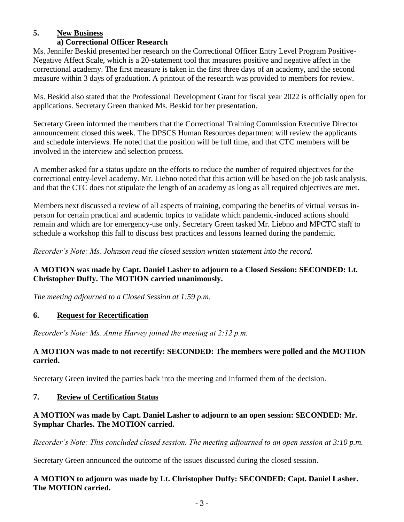# **5. New Business**

## **a) Correctional Officer Research**

Ms. Jennifer Beskid presented her research on the Correctional Officer Entry Level Program Positive-Negative Affect Scale, which is a 20-statement tool that measures positive and negative affect in the correctional academy. The first measure is taken in the first three days of an academy, and the second measure within 3 days of graduation. A printout of the research was provided to members for review.

Ms. Beskid also stated that the Professional Development Grant for fiscal year 2022 is officially open for applications. Secretary Green thanked Ms. Beskid for her presentation.

Secretary Green informed the members that the Correctional Training Commission Executive Director announcement closed this week. The DPSCS Human Resources department will review the applicants and schedule interviews. He noted that the position will be full time, and that CTC members will be involved in the interview and selection process.

A member asked for a status update on the efforts to reduce the number of required objectives for the correctional entry-level academy. Mr. Liebno noted that this action will be based on the job task analysis, and that the CTC does not stipulate the length of an academy as long as all required objectives are met.

Members next discussed a review of all aspects of training, comparing the benefits of virtual versus inperson for certain practical and academic topics to validate which pandemic-induced actions should remain and which are for emergency-use only. Secretary Green tasked Mr. Liebno and MPCTC staff to schedule a workshop this fall to discuss best practices and lessons learned during the pandemic.

*Recorder's Note: Ms. Johnson read the closed session written statement into the record.* 

## **A MOTION was made by Capt. Daniel Lasher to adjourn to a Closed Session: SECONDED: Lt. Christopher Duffy. The MOTION carried unanimously.**

*The meeting adjourned to a Closed Session at 1:59 p.m.*

# **6. Request for Recertification**

*Recorder's Note: Ms. Annie Harvey joined the meeting at 2:12 p.m.*

## **A MOTION was made to not recertify: SECONDED: The members were polled and the MOTION carried.**

Secretary Green invited the parties back into the meeting and informed them of the decision.

# **7. Review of Certification Status**

## **A MOTION was made by Capt. Daniel Lasher to adjourn to an open session: SECONDED: Mr. Symphar Charles. The MOTION carried.**

*Recorder's Note: This concluded closed session. The meeting adjourned to an open session at 3:10 p.m.*

Secretary Green announced the outcome of the issues discussed during the closed session.

#### **A MOTION to adjourn was made by Lt. Christopher Duffy: SECONDED: Capt. Daniel Lasher. The MOTION carried.**